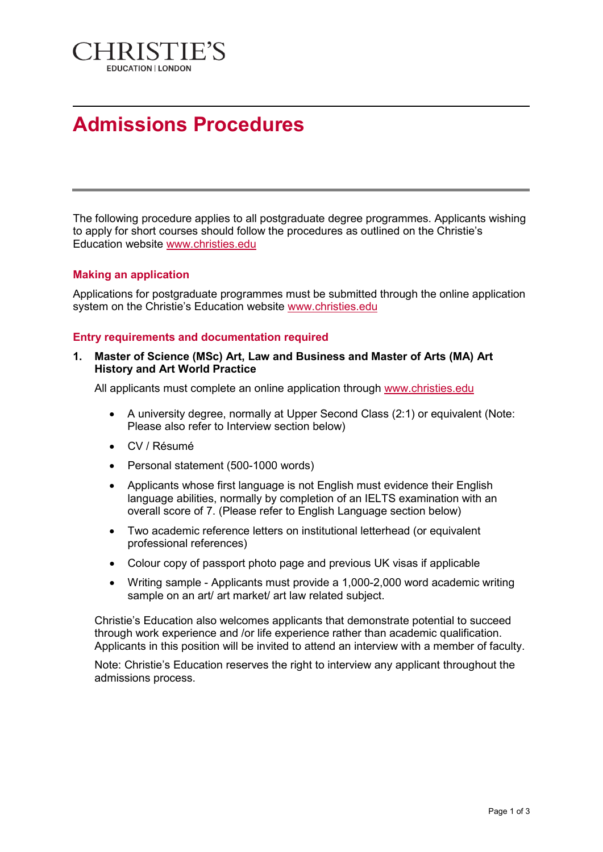

# **Admissions Procedures**

The following procedure applies to all postgraduate degree programmes. Applicants wishing to apply for short courses should follow the procedures as outlined on the Christie's Education website www.christies.edu

# **Making an application**

Applications for postgraduate programmes must be submitted through the online application system on the Christie's Education website www.christies.edu

#### **Entry requirements and documentation required**

#### **1. Master of Science (MSc) Art, Law and Business and Master of Arts (MA) Art History and Art World Practice**

All applicants must complete an online application through www.christies.edu

- A university degree, normally at Upper Second Class (2:1) or equivalent (Note: Please also refer to Interview section below)
- CV / Résumé
- Personal statement (500-1000 words)
- Applicants whose first language is not English must evidence their English language abilities, normally by completion of an IELTS examination with an overall score of 7. (Please refer to English Language section below)
- Two academic reference letters on institutional letterhead (or equivalent professional references)
- Colour copy of passport photo page and previous UK visas if applicable
- Writing sample Applicants must provide a 1,000-2,000 word academic writing sample on an art/ art market/ art law related subject.

Christie's Education also welcomes applicants that demonstrate potential to succeed through work experience and /or life experience rather than academic qualification. Applicants in this position will be invited to attend an interview with a member of faculty.

Note: Christie's Education reserves the right to interview any applicant throughout the admissions process.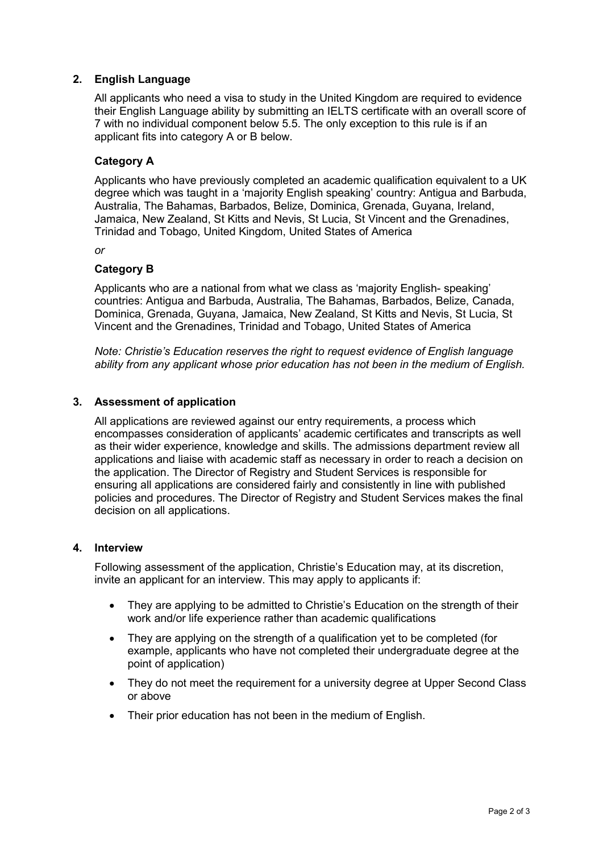# **2. English Language**

All applicants who need a visa to study in the United Kingdom are required to evidence their English Language ability by submitting an IELTS certificate with an overall score of 7 with no individual component below 5.5. The only exception to this rule is if an applicant fits into category A or B below.

# **Category A**

Applicants who have previously completed an academic qualification equivalent to a UK degree which was taught in a 'majority English speaking' country: Antigua and Barbuda, Australia, The Bahamas, Barbados, Belize, Dominica, Grenada, Guyana, Ireland, Jamaica, New Zealand, St Kitts and Nevis, St Lucia, St Vincent and the Grenadines, Trinidad and Tobago, United Kingdom, United States of America

*or*

# **Category B**

Applicants who are a national from what we class as 'majority English- speaking' countries: Antigua and Barbuda, Australia, The Bahamas, Barbados, Belize, Canada, Dominica, Grenada, Guyana, Jamaica, New Zealand, St Kitts and Nevis, St Lucia, St Vincent and the Grenadines, Trinidad and Tobago, United States of America

*Note: Christie's Education reserves the right to request evidence of English language ability from any applicant whose prior education has not been in the medium of English.*

# **3. Assessment of application**

All applications are reviewed against our entry requirements, a process which encompasses consideration of applicants' academic certificates and transcripts as well as their wider experience, knowledge and skills. The admissions department review all applications and liaise with academic staff as necessary in order to reach a decision on the application. The Director of Registry and Student Services is responsible for ensuring all applications are considered fairly and consistently in line with published policies and procedures. The Director of Registry and Student Services makes the final decision on all applications.

#### **4. Interview**

Following assessment of the application, Christie's Education may, at its discretion, invite an applicant for an interview. This may apply to applicants if:

- They are applying to be admitted to Christie's Education on the strength of their work and/or life experience rather than academic qualifications
- They are applying on the strength of a qualification yet to be completed (for example, applicants who have not completed their undergraduate degree at the point of application)
- They do not meet the requirement for a university degree at Upper Second Class or above
- Their prior education has not been in the medium of English.